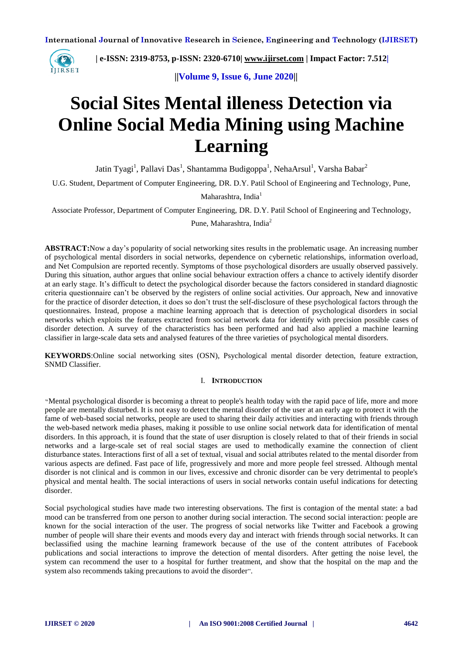

 **| e-ISSN: 2319-8753, p-ISSN: 2320-6710| [www.ijirset.com](http://www.ijirset.com/) | Impact Factor: 7.512|**

 **||Volume 9, Issue 6, June 2020||** 

# **Social Sites Mental illeness Detection via Online Social Media Mining using Machine Learning**

Jatin Tyagi<sup>1</sup>, Pallavi Das<sup>1</sup>, Shantamma Budigoppa<sup>1</sup>, NehaArsul<sup>1</sup>, Varsha Babar<sup>2</sup>

U.G. Student, Department of Computer Engineering, DR. D.Y. Patil School of Engineering and Technology, Pune,

Maharashtra, India<sup>1</sup>

Associate Professor, Department of Computer Engineering, DR. D.Y. Patil School of Engineering and Technology,

Pune, Maharashtra, India<sup>2</sup>

**ABSTRACT:**Now a day's popularity of social networking sites results in the problematic usage. An increasing number of psychological mental disorders in social networks, dependence on cybernetic relationships, information overload, and Net Compulsion are reported recently. Symptoms of those psychological disorders are usually observed passively. During this situation, author argues that online social behaviour extraction offers a chance to actively identify disorder at an early stage. It's difficult to detect the psychological disorder because the factors considered in standard diagnostic criteria questionnaire can't be observed by the registers of online social activities. Our approach, New and innovative for the practice of disorder detection, it does so don't trust the self-disclosure of these psychological factors through the questionnaires. Instead, propose a machine learning approach that is detection of psychological disorders in social networks which exploits the features extracted from social network data for identify with precision possible cases of disorder detection. A survey of the characteristics has been performed and had also applied a machine learning classifier in large-scale data sets and analysed features of the three varieties of psychological mental disorders.

**KEYWORDS**:Online social networking sites (OSN), Psychological mental disorder detection, feature extraction, SNMD Classifier.

# I. **INTRODUCTION**

"Mental psychological disorder is becoming a threat to people's health today with the rapid pace of life, more and more people are mentally disturbed. It is not easy to detect the mental disorder of the user at an early age to protect it with the fame of web-based social networks, people are used to sharing their daily activities and interacting with friends through the web-based network media phases, making it possible to use online social network data for identification of mental disorders. In this approach, it is found that the state of user disruption is closely related to that of their friends in social networks and a large-scale set of real social stages are used to methodically examine the connection of client disturbance states. Interactions first of all a set of textual, visual and social attributes related to the mental disorder from various aspects are defined. Fast pace of life, progressively and more and more people feel stressed. Although mental disorder is not clinical and is common in our lives, excessive and chronic disorder can be very detrimental to people's physical and mental health. The social interactions of users in social networks contain useful indications for detecting disorder.

Social psychological studies have made two interesting observations. The first is contagion of the mental state: a bad mood can be transferred from one person to another during social interaction. The second social interaction: people are known for the social interaction of the user. The progress of social networks like Twitter and Facebook a growing number of people will share their events and moods every day and interact with friends through social networks. It can beclassified using the machine learning framework because of the use of the content attributes of Facebook publications and social interactions to improve the detection of mental disorders. After getting the noise level, the system can recommend the user to a hospital for further treatment, and show that the hospital on the map and the system also recommends taking precautions to avoid the disorder".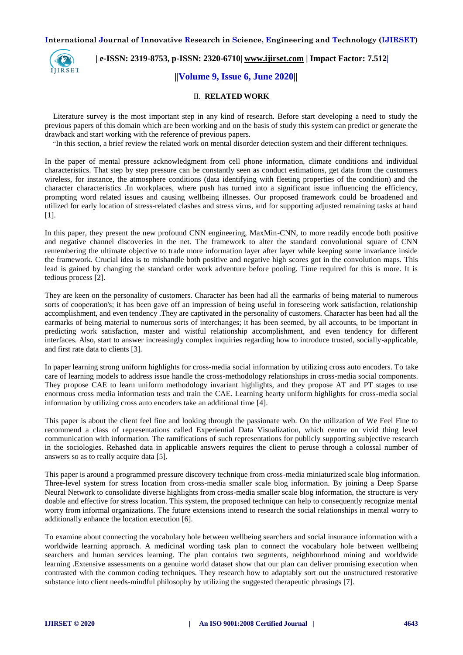

 **| e-ISSN: 2319-8753, p-ISSN: 2320-6710| [www.ijirset.com](http://www.ijirset.com/) | Impact Factor: 7.512|**

# **||Volume 9, Issue 6, June 2020||**

# II. **RELATED WORK**

Literature survey is the most important step in any kind of research. Before start developing a need to study the previous papers of this domain which are been working and on the basis of study this system can predict or generate the drawback and start working with the reference of previous papers.

"In this section, a brief review the related work on mental disorder detection system and their different techniques.

In the paper of mental pressure acknowledgment from cell phone information, climate conditions and individual characteristics. That step by step pressure can be constantly seen as conduct estimations, get data from the customers wireless, for instance, the atmosphere conditions (data identifying with fleeting properties of the condition) and the character characteristics .In workplaces, where push has turned into a significant issue influencing the efficiency, prompting word related issues and causing wellbeing illnesses. Our proposed framework could be broadened and utilized for early location of stress-related clashes and stress virus, and for supporting adjusted remaining tasks at hand  $[1]$ .

In this paper, they present the new profound CNN engineering, MaxMin-CNN, to more readily encode both positive and negative channel discoveries in the net. The framework to alter the standard convolutional square of CNN remembering the ultimate objective to trade more information layer after layer while keeping some invariance inside the framework. Crucial idea is to mishandle both positive and negative high scores got in the convolution maps. This lead is gained by changing the standard order work adventure before pooling. Time required for this is more. It is tedious process [2].

They are keen on the personality of customers. Character has been had all the earmarks of being material to numerous sorts of cooperation's; it has been gave off an impression of being useful in foreseeing work satisfaction, relationship accomplishment, and even tendency .They are captivated in the personality of customers. Character has been had all the earmarks of being material to numerous sorts of interchanges; it has been seemed, by all accounts, to be important in predicting work satisfaction, master and wistful relationship accomplishment, and even tendency for different interfaces. Also, start to answer increasingly complex inquiries regarding how to introduce trusted, socially-applicable, and first rate data to clients [3].

In paper learning strong uniform highlights for cross-media social information by utilizing cross auto encoders. To take care of learning models to address issue handle the cross-methodology relationships in cross-media social components. They propose CAE to learn uniform methodology invariant highlights, and they propose AT and PT stages to use enormous cross media information tests and train the CAE. Learning hearty uniform highlights for cross-media social information by utilizing cross auto encoders take an additional time [4].

This paper is about the client feel fine and looking through the passionate web. On the utilization of We Feel Fine to recommend a class of representations called Experiential Data Visualization, which centre on vivid thing level communication with information. The ramifications of such representations for publicly supporting subjective research in the sociologies. Rehashed data in applicable answers requires the client to peruse through a colossal number of answers so as to really acquire data [5].

This paper is around a programmed pressure discovery technique from cross-media miniaturized scale blog information. Three-level system for stress location from cross-media smaller scale blog information. By joining a Deep Sparse Neural Network to consolidate diverse highlights from cross-media smaller scale blog information, the structure is very doable and effective for stress location. This system, the proposed technique can help to consequently recognize mental worry from informal organizations. The future extensions intend to research the social relationships in mental worry to additionally enhance the location execution [6].

To examine about connecting the vocabulary hole between wellbeing searchers and social insurance information with a worldwide learning approach. A medicinal wording task plan to connect the vocabulary hole between wellbeing searchers and human services learning. The plan contains two segments, neighbourhood mining and worldwide learning .Extensive assessments on a genuine world dataset show that our plan can deliver promising execution when contrasted with the common coding techniques. They research how to adaptably sort out the unstructured restorative substance into client needs-mindful philosophy by utilizing the suggested therapeutic phrasings [7].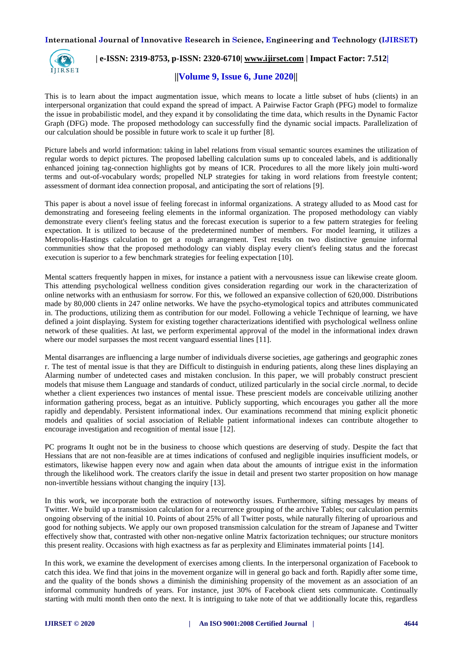

# **| e-ISSN: 2319-8753, p-ISSN: 2320-6710| [www.ijirset.com](http://www.ijirset.com/) | Impact Factor: 7.512|**

# **||Volume 9, Issue 6, June 2020||**

This is to learn about the impact augmentation issue, which means to locate a little subset of hubs (clients) in an interpersonal organization that could expand the spread of impact. A Pairwise Factor Graph (PFG) model to formalize the issue in probabilistic model, and they expand it by consolidating the time data, which results in the Dynamic Factor Graph (DFG) mode. The proposed methodology can successfully find the dynamic social impacts. Parallelization of our calculation should be possible in future work to scale it up further [8].

Picture labels and world information: taking in label relations from visual semantic sources examines the utilization of regular words to depict pictures. The proposed labelling calculation sums up to concealed labels, and is additionally enhanced joining tag-connection highlights got by means of ICR. Procedures to all the more likely join multi-word terms and out-of-vocabulary words; propelled NLP strategies for taking in word relations from freestyle content; assessment of dormant idea connection proposal, and anticipating the sort of relations [9].

This paper is about a novel issue of feeling forecast in informal organizations. A strategy alluded to as Mood cast for demonstrating and foreseeing feeling elements in the informal organization. The proposed methodology can viably demonstrate every client's feeling status and the forecast execution is superior to a few pattern strategies for feeling expectation. It is utilized to because of the predetermined number of members. For model learning, it utilizes a Metropolis-Hastings calculation to get a rough arrangement. Test results on two distinctive genuine informal communities show that the proposed methodology can viably display every client's feeling status and the forecast execution is superior to a few benchmark strategies for feeling expectation [10].

Mental scatters frequently happen in mixes, for instance a patient with a nervousness issue can likewise create gloom. This attending psychological wellness condition gives consideration regarding our work in the characterization of online networks with an enthusiasm for sorrow. For this, we followed an expansive collection of 620,000. Distributions made by 80,000 clients in 247 online networks. We have the psycho-etymological topics and attributes communicated in. The productions, utilizing them as contribution for our model. Following a vehicle Technique of learning, we have defined a joint displaying. System for existing together characterizations identified with psychological wellness online network of these qualities. At last, we perform experimental approval of the model in the informational index drawn where our model surpasses the most recent vanguard essential lines [11].

Mental disarranges are influencing a large number of individuals diverse societies, age gatherings and geographic zones r. The test of mental issue is that they are Difficult to distinguish in enduring patients, along these lines displaying an Alarming number of undetected cases and mistaken conclusion. In this paper, we will probably construct prescient models that misuse them Language and standards of conduct, utilized particularly in the social circle .normal, to decide whether a client experiences two instances of mental issue. These prescient models are conceivable utilizing another information gathering process, begat as an intuitive. Publicly supporting, which encourages you gather all the more rapidly and dependably. Persistent informational index. Our examinations recommend that mining explicit phonetic models and qualities of social association of Reliable patient informational indexes can contribute altogether to encourage investigation and recognition of mental issue [12].

PC programs It ought not be in the business to choose which questions are deserving of study. Despite the fact that Hessians that are not non-feasible are at times indications of confused and negligible inquiries insufficient models, or estimators, likewise happen every now and again when data about the amounts of intrigue exist in the information through the likelihood work. The creators clarify the issue in detail and present two starter proposition on how manage non-invertible hessians without changing the inquiry [13].

In this work, we incorporate both the extraction of noteworthy issues. Furthermore, sifting messages by means of Twitter. We build up a transmission calculation for a recurrence grouping of the archive Tables; our calculation permits ongoing observing of the initial 10. Points of about 25% of all Twitter posts, while naturally filtering of uproarious and good for nothing subjects. We apply our own proposed transmission calculation for the stream of Japanese and Twitter effectively show that, contrasted with other non-negative online Matrix factorization techniques; our structure monitors this present reality. Occasions with high exactness as far as perplexity and Eliminates immaterial points [14].

In this work, we examine the development of exercises among clients. In the interpersonal organization of Facebook to catch this idea. We find that joins in the movement organize will in general go back and forth. Rapidly after some time, and the quality of the bonds shows a diminish the diminishing propensity of the movement as an association of an informal community hundreds of years. For instance, just 30% of Facebook client sets communicate. Continually starting with multi month then onto the next. It is intriguing to take note of that we additionally locate this, regardless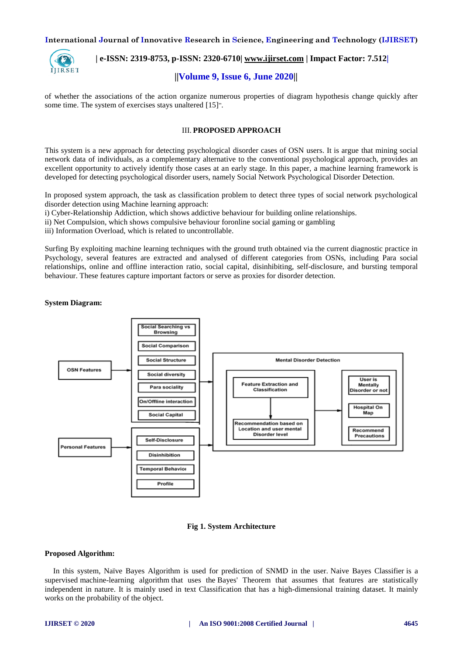

# **| e-ISSN: 2319-8753, p-ISSN: 2320-6710| [www.ijirset.com](http://www.ijirset.com/) | Impact Factor: 7.512|**

# **||Volume 9, Issue 6, June 2020||**

of whether the associations of the action organize numerous properties of diagram hypothesis change quickly after some time. The system of exercises stays unaltered [15]".

# III. **PROPOSED APPROACH**

This system is a new approach for detecting psychological disorder cases of OSN users. It is argue that mining social network data of individuals, as a complementary alternative to the conventional psychological approach, provides an excellent opportunity to actively identify those cases at an early stage. In this paper, a machine learning framework is developed for detecting psychological disorder users, namely Social Network Psychological Disorder Detection.

In proposed system approach, the task as classification problem to detect three types of social network psychological disorder detection using Machine learning approach:

- i) Cyber-Relationship Addiction, which shows addictive behaviour for building online relationships.
- ii) Net Compulsion, which shows compulsive behaviour foronline social gaming or gambling
- iii) Information Overload, which is related to uncontrollable.

Surfing By exploiting machine learning techniques with the ground truth obtained via the current diagnostic practice in Psychology, several features are extracted and analysed of different categories from OSNs, including Para social relationships, online and offline interaction ratio, social capital, disinhibiting, self-disclosure, and bursting temporal behaviour. These features capture important factors or serve as proxies for disorder detection.

# **System Diagram:**



# **Fig 1. System Architecture**

# **Proposed Algorithm:**

In this system, Naïve Bayes Algorithm is used for prediction of SNMD in the user. Naive Bayes Classifier is a supervised machine-learning algorithm that uses the Bayes' Theorem that assumes that features are statistically independent in nature. It is mainly used in text Classification that has a high-dimensional training dataset. It mainly works on the probability of the object.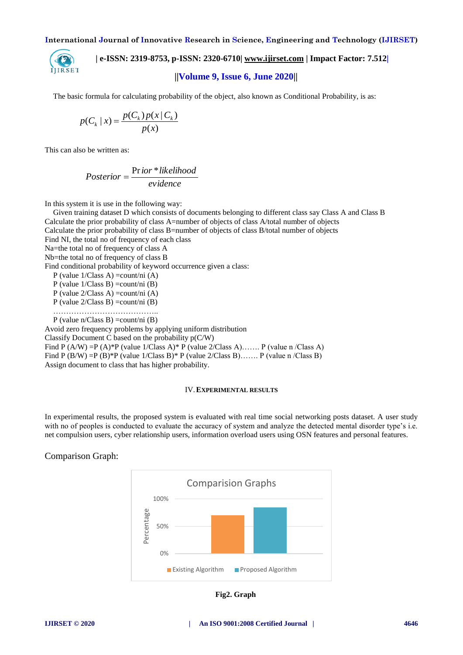

 **| e-ISSN: 2319-8753, p-ISSN: 2320-6710| [www.ijirset.com](http://www.ijirset.com/) | Impact Factor: 7.512|**

# **||Volume 9, Issue 6, June 2020||**

The basic formula for calculating probability of the object, also known as Conditional Probability, is as:

$$
p(C_k | x) = \frac{p(C_k)p(x | C_k)}{p(x)}
$$

This can also be written as:

$$
Posterior = \frac{Prior * likelihood}{evidence}
$$

In this system it is use in the following way:

Given training dataset D which consists of documents belonging to different class say Class A and Class B Calculate the prior probability of class A=number of objects of class A/total number of objects Calculate the prior probability of class B=number of objects of class B/total number of objects Find NI, the total no of frequency of each class Na=the total no of frequency of class A Nb=the total no of frequency of class B Find conditional probability of keyword occurrence given a class: P (value 1/Class A) =count/ni (A) P (value  $1/C$ lass B) =count/ni (B) P (value 2/Class A) =count/ni (A) P (value 2/Class B) =count/ni (B) ………………………………….. P (value n/Class B) =count/ni (B) Avoid zero frequency problems by applying uniform distribution Classify Document C based on the probability p(C/W) Find P (A/W) =P (A)\*P (value 1/Class A)\* P (value 2/Class A)……. P (value n /Class A) Find P (B/W) = P (B)\* P (value  $1/C$ lass B)\* P (value  $2/C$ lass B)……. P (value n /Class B) Assign document to class that has higher probability.

### IV.**EXPERIMENTAL RESULTS**

In experimental results, the proposed system is evaluated with real time social networking posts dataset. A user study with no of peoples is conducted to evaluate the accuracy of system and analyze the detected mental disorder type's i.e. net compulsion users, cyber relationship users, information overload users using OSN features and personal features.

# Comparison Graph:



**Fig2. Graph**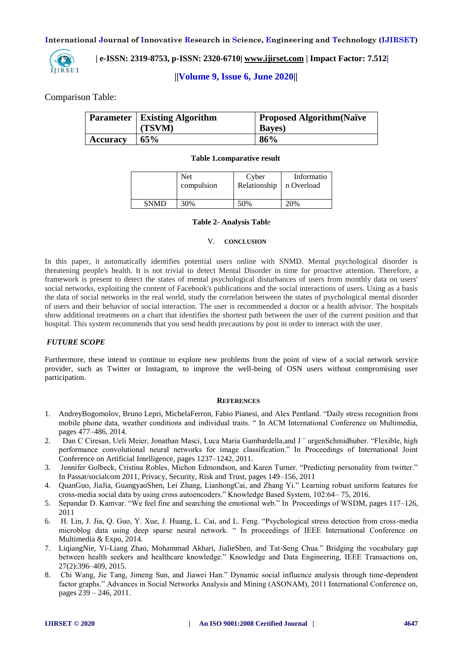

 **| e-ISSN: 2319-8753, p-ISSN: 2320-6710| [www.ijirset.com](http://www.ijirset.com/) | Impact Factor: 7.512|**

 **||Volume 9, Issue 6, June 2020||** 

Comparison Table:

|                 | <b>Parameter   Existing Algorithm</b> | <b>Proposed Algorithm (Naïve</b> |  |
|-----------------|---------------------------------------|----------------------------------|--|
|                 | (TSVM)                                | <b>Bayes</b> )                   |  |
| <b>Accuracy</b> | 65%                                   | 86%                              |  |

# **Table 1.comparative result**

|             | <b>Net</b> | Cyber        | Informatio |
|-------------|------------|--------------|------------|
|             | compulsion | Relationship | n Overload |
| <b>SNMD</b> | 30%        | 50%          | 20%        |

# **Table 2- Analysis Tabl**e

### V. **CONCLUSION**

In this paper, it automatically identifies potential users online with SNMD. Mental psychological disorder is threatening people's health. It is not trivial to detect Mental Disorder in time for proactive attention. Therefore, a framework is present to detect the states of mental psychological disturbances of users from monthly data on users' social networks, exploiting the content of Facebook's publications and the social interactions of users. Using as a basis the data of social networks in the real world, study the correlation between the states of psychological mental disorder of users and their behavior of social interaction. The user is recommended a doctor or a health advisor. The hospitals show additional treatments on a chart that identifies the shortest path between the user of the current position and that hospital. This system recommends that you send health precautions by post in order to interact with the user.

# *FUTURE SCOPE*

Furthermore, these intend to continue to explore new problems from the point of view of a social network service provider, such as Twitter or Instagram, to improve the well-being of OSN users without compromising user participation.

# **REFERENCES**

- 1. AndreyBogomolov, Bruno Lepri, MichelaFerron, Fabio Pianesi, and Alex Pentland. "Daily stress recognition from mobile phone data, weather conditions and individual traits. " In ACM International Conference on Multimedia, pages 477–486, 2014.
- 2. Dan C Ciresan, Ueli Meier, Jonathan Masci, Luca Maria Gambardella, and J vurgenSchmidhuber. "Flexible, high performance convolutional neural networks for image classification." In Proceedings of International Joint Conference on Artificial Intelligence, pages 1237–1242, 2011.
- 3. Jennifer Golbeck, Cristina Robles, Michon Edmondson, and Karen Turner. "Predicting personality from twitter." In Passat/socialcom 2011, Privacy, Security, Risk and Trust, pages 149–156, 2011
- 4. QuanGuo, JiaJia, GuangyaoShen, Lei Zhang, LianhongCai, and Zhang Yi." Learning robust uniform features for cross-media social data by using cross autoencoders." Knowledge Based System, 102:64– 75, 2016.
- 5. Sepandar D. Kamvar. "We feel fine and searching the emotional web." In Proceedings of WSDM, pages 117–126, 2011
- 6. H. Lin, J. Jia, Q. Guo, Y. Xue, J. Huang, L. Cai, and L. Feng. "Psychological stress detection from cross-media microblog data using deep sparse neural network. " In proceedings of IEEE International Conference on Multimedia & Expo, 2014.
- 7. LiqiangNie, Yi-Liang Zhao, Mohammad Akbari, JialieShen, and Tat-Seng Chua." Bridging the vocabulary gap between health seekers and healthcare knowledge." Knowledge and Data Engineering, IEEE Transactions on, 27(2):396–409, 2015.
- 8. Chi Wang, Jie Tang, Jimeng Sun, and Jiawei Han." Dynamic social influence analysis through time-dependent factor graphs." Advances in Social Networks Analysis and Mining (ASONAM), 2011 International Conference on, pages 239 – 246, 2011.